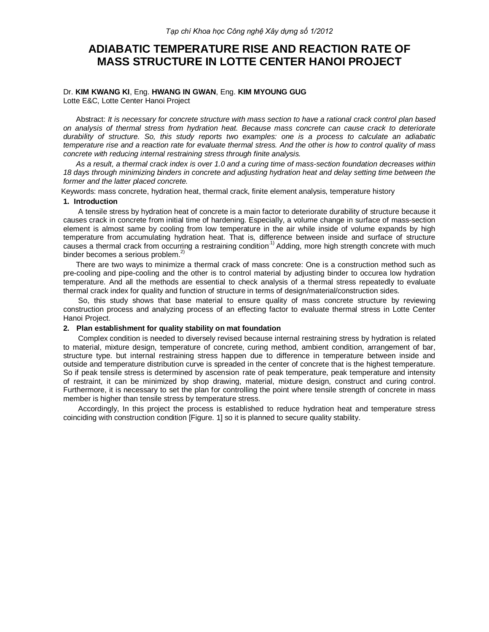# **ADIABATIC TEMPERATURE RISE AND REACTION RATE OF MASS STRUCTURE IN LOTTE CENTER HANOI PROJECT**

#### Dr. **KIM KWANG KI**, Eng. **HWANG IN GWAN**, Eng. **KIM MYOUNG GUG** Lotte E&C, Lotte Center Hanoi Project

Abstract: *It is necessary for concrete structure with mass section to have a rational crack control plan based on analysis of thermal stress from hydration heat. Because mass concrete can cause crack to deteriorate durability of structure. So, this study reports two examples: one is a process to calculate an adiabatic temperature rise and a reaction rate for evaluate thermal stress. And the other is how to control quality of mass concrete with reducing internal restraining stress through finite analysis.*

*As a result, a thermal crack index is over 1.0 and a curing time of mass-section foundation decreases within 18 days through minimizing binders in concrete and adjusting hydration heat and delay setting time between the former and the latter placed concrete.*

Keywords: mass concrete, hydration heat, thermal crack, finite element analysis, temperature history

# **1. Introduction**

A tensile stress by hydration heat of concrete is a main factor to deteriorate durability of structure because it causes crack in concrete from initial time of hardening. Especially, a volume change in surface of mass-section element is almost same by cooling from low temperature in the air while inside of volume expands by high temperature from accumulating hydration heat. That is, difference between inside and surface of structure causes a thermal crack from occurring a restraining condition<sup>-1)</sup> Adding, more high strength concrete with much binder becomes a serious problem.<sup>2)</sup>

There are two ways to minimize a thermal crack of mass concrete: One is a construction method such as pre-cooling and pipe-cooling and the other is to control material by adjusting binder to occurea low hydration temperature. And all the methods are essential to check analysis of a thermal stress repeatedly to evaluate thermal crack index for quality and function of structure in terms of design/material/construction sides.

So, this study shows that base material to ensure quality of mass concrete structure by reviewing construction process and analyzing process of an effecting factor to evaluate thermal stress in Lotte Center Hanoi Project.

#### **2. Plan establishment for quality stability on mat foundation**

Complex condition is needed to diversely revised because internal restraining stress by hydration is related to material, mixture design, temperature of concrete, curing method, ambient condition, arrangement of bar, structure type. but internal restraining stress happen due to difference in temperature between inside and outside and temperature distribution curve is spreaded in the center of concrete that is the highest temperature. So if peak tensile stress is determined by ascension rate of peak temperature, peak temperature and intensity of restraint, it can be minimized by shop drawing, material, mixture design, construct and curing control. Furthermore, it is necessary to set the plan for controlling the point where tensile strength of concrete in mass member is higher than tensile stress by temperature stress.

Accordingly, In this project the process is established to reduce hydration heat and temperature stress coinciding with construction condition [Figure. 1] so it is planned to secure quality stability.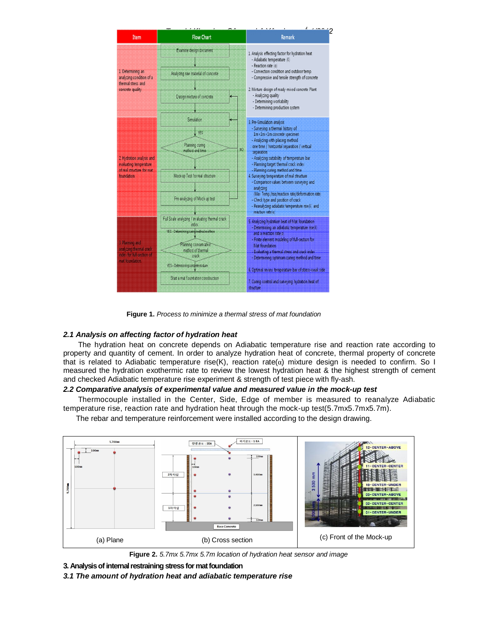

**Figure 1.** *Process to minimize a thermal stress of mat foundation*

# *2.1 Analysis on affecting factor of hydration heat*

The hydration heat on concrete depends on Adiabatic temperature rise and reaction rate according to property and quantity of cement. In order to analyze hydration heat of concrete, thermal property of concrete that is related to Adiabatic temperature rise(K), reaction rate( $\alpha$ ) mixture design is needed to confirm. So I measured the hydration exothermic rate to review the lowest hydration heat & the highest strength of cement and checked Adiabatic temperature rise experiment & strength of test piece with fly-ash.

### *2.2 Comparative analysis of experimental value and measured value in the mock-up test*

Thermocouple installed in the Center, Side, Edge of member is measured to reanalyze Adiabatic temperature rise, reaction rate and hydration heat through the mock-up test(5.7mx5.7mx5.7m).

The rebar and temperature reinforcement were installed according to the design drawing.



**Figure 2.** *5.7mx 5.7mx 5.7m location of hydration heat sensor and image*



*3.1 The amount of hydration heat and adiabatic temperature rise*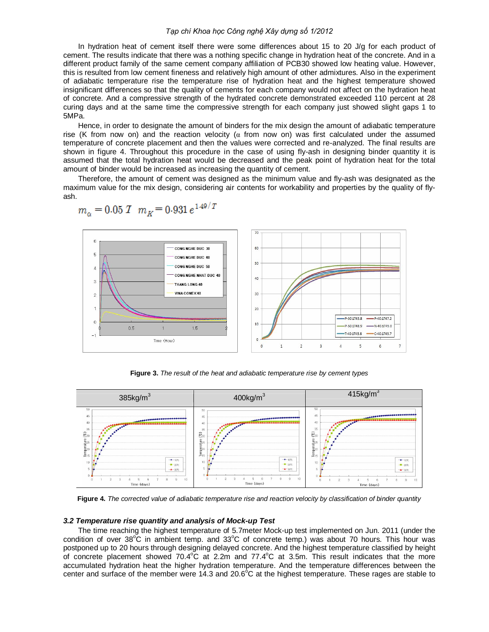#### *Tạp chí Khoa học Công nghệ Xây dựng số 1/2012*

In hydration heat of cement itself there were some differences about 15 to 20 J/g for each product of cement. The results indicate that there was a nothing specific change in hydration heat of the concrete. And in a different product family of the same cement company affiliation of PCB30 showed low heating value. However, this is resulted from low cement fineness and relatively high amount of other admixtures. Also in the experiment of adiabatic temperature rise the temperature rise of hydration heat and the highest temperature showed insignificant differences so that the quality of cements for each company would not affect on the hydration heat of concrete. And a compressive strength of the hydrated concrete demonstrated exceeded 110 percent at 28 curing days and at the same time the compressive strength for each company just showed slight gaps 1 to 5MPa.

Hence, in order to designate the amount of binders for the mix design the amount of adiabatic temperature rise (K from now on) and the reaction velocity ( $\alpha$  from now on) was first calculated under the assumed temperature of concrete placement and then the values were corrected and re-analyzed. The final results are shown in figure 4. Throughout this procedure in the case of using fly-ash in designing binder quantity it is assumed that the total hydration heat would be decreased and the peak point of hydration heat for the total amount of binder would be increased as increasing the quantity of cement.

Therefore, the amount of cement was designed as the minimum value and fly-ash was designated as the maximum value for the mix design, considering air contents for workability and properties by the quality of flyash.



$$
m_{\alpha} = 0.05 \, \text{I} \quad m_K = 0.931 \, e^{1.49/T}
$$

**Figure 3.** *The result of the heat and adiabatic temperature rise by cement types*



**Figure 4.** *The corrected value of adiabatic temperature rise and reaction velocity by classification of binder quantity*

#### *3.2 Temperature rise quantity and analysis of Mock-up Test*

The time reaching the highest temperature of 5.7meter Mock-up test implemented on Jun. 2011 (under the condition of over  $38^{\circ}$ C in ambient temp. and  $33^{\circ}$ C of concrete temp.) was about 70 hours. This hour was postponed up to 20 hours through designing delayed concrete. And the highest temperature classified by height of concrete placement showed  $70.4^{\circ}$ C at 2.2m and  $77.4^{\circ}$ C at 3.5m. This result indicates that the more accumulated hydration heat the higher hydration temperature. And the temperature differences between the center and surface of the member were 14.3 and  $20.6^{\circ}$ C at the highest temperature. These rages are stable to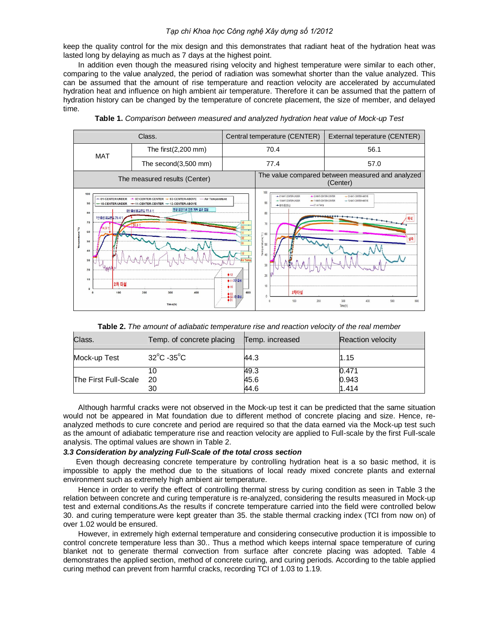#### *Tạp chí Khoa học Công nghệ Xây dựng số 1/2012*

keep the quality control for the mix design and this demonstrates that radiant heat of the hydration heat was lasted long by delaying as much as 7 days at the highest point.

In addition even though the measured rising velocity and highest temperature were similar to each other, comparing to the value analyzed, the period of radiation was somewhat shorter than the value analyzed. This can be assumed that the amount of rise temperature and reaction velocity are accelerated by accumulated hydration heat and influence on high ambient air temperature. Therefore it can be assumed that the pattern of hydration history can be changed by the temperature of concrete placement, the size of member, and delayed time.



|  |  |  |  |  |  |  | Table 1. Comparison between measured and analyzed hydration heat value of Mock-up Test |
|--|--|--|--|--|--|--|----------------------------------------------------------------------------------------|
|--|--|--|--|--|--|--|----------------------------------------------------------------------------------------|

|  |  | <b>Table 2.</b> The amount of adiabatic temperature rise and reaction velocity of the real member |
|--|--|---------------------------------------------------------------------------------------------------|
|  |  |                                                                                                   |

| Class.               | Temp. of concrete placing       | Temp. increased | Reaction velocity |
|----------------------|---------------------------------|-----------------|-------------------|
| Mock-up Test         | $32^{\circ}$ C -35 $^{\circ}$ C | 44.3            | 1.15              |
|                      | 10                              | 49.3            | 0.471             |
| The First Full-Scale | -20                             | 45.6            | 0.943             |
|                      | 30                              | 44.6            | 1.414             |

Although harmful cracks were not observed in the Mock-up test it can be predicted that the same situation would not be appeared in Mat foundation due to different method of concrete placing and size. Hence, reanalyzed methods to cure concrete and period are required so that the data earned via the Mock-up test such as the amount of adiabatic temperature rise and reaction velocity are applied to Full-scale by the first Full-scale analysis. The optimal values are shown in Table 2.

#### *3.3 Consideration by analyzing Full-Scale of the total cross section*

Even though decreasing concrete temperature by controlling hydration heat is a so basic method, it is impossible to apply the method due to the situations of local ready mixed concrete plants and external environment such as extremely high ambient air temperature.

Hence in order to verify the effect of controlling thermal stress by curing condition as seen in Table 3 the relation between concrete and curing temperature is re-analyzed, considering the results measured in Mock-up test and external conditions.As the results if concrete temperature carried into the field were controlled below 30. and curing temperature were kept greater than 35. the stable thermal cracking index (TCI from now on) of over 1.02 would be ensured.

However, in extremely high external temperature and considering consecutive production it is impossible to control concrete temperature less than 30.. Thus a method which keeps internal space temperature of curing blanket not to generate thermal convection from surface after concrete placing was adopted. Table 4 demonstrates the applied section, method of concrete curing, and curing periods. According to the table applied curing method can prevent from harmful cracks, recording TCI of 1.03 to 1.19.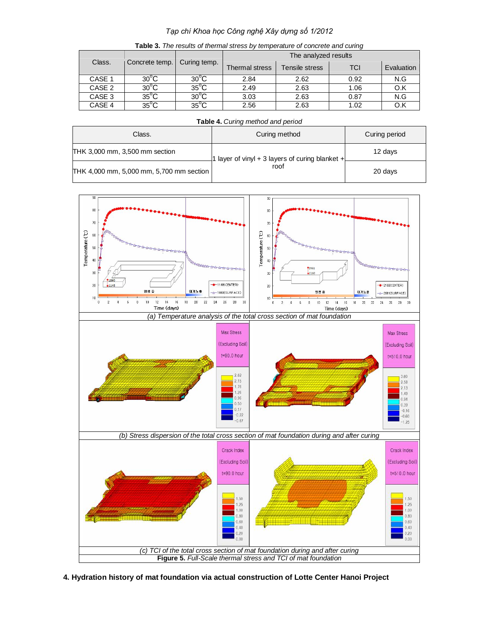# *Tạp chí Khoa học Công nghệ Xây dựng số 1/2012*

| <b>Table 3.</b> The results of thermal stress by temperature of concrete and curing |                               |                |                      |                |            |            |  |  |  |
|-------------------------------------------------------------------------------------|-------------------------------|----------------|----------------------|----------------|------------|------------|--|--|--|
| Class.                                                                              | Concrete temp.   Curing temp. |                | The analyzed results |                |            |            |  |  |  |
|                                                                                     |                               |                | Thermal stress       | Tensile stress | <b>TCI</b> | Evaluation |  |  |  |
| CASE 1                                                                              | $30^{\circ}$ C                | $30^{\circ}$ C | 2.84                 | 2.62           | 0.92       | N.G        |  |  |  |
| CASE 2                                                                              | $30^{\circ}$ C                | $35^{\circ}$ C | 2.49                 | 2.63           | 1.06       | O.K        |  |  |  |
| CASE 3                                                                              | $35^{\circ}$ C                | $30^{\circ}$ C | 3.03                 | 2.63           | 0.87       | N.G        |  |  |  |
| CASE 4                                                                              | $35^{\circ}$ C                | $35^{\circ}$ C | 2.56                 | 2.63           | 1.02       | O.K        |  |  |  |

**Table 3.** *The results of thermal stress by temperature of concrete and curing*

**Table 4.** *Curing method and period*

| Class.                                   | Curing method                                   | Curing period |
|------------------------------------------|-------------------------------------------------|---------------|
| THK 3,000 mm, 3,500 mm section           | 1 layer of vinyl + 3 layers of curing blanket + | 12 days       |
| THK 4,000 mm, 5,000 mm, 5,700 mm section | roof                                            | 20 days       |



**4. Hydration history of mat foundation via actual construction of Lotte Center Hanoi Project**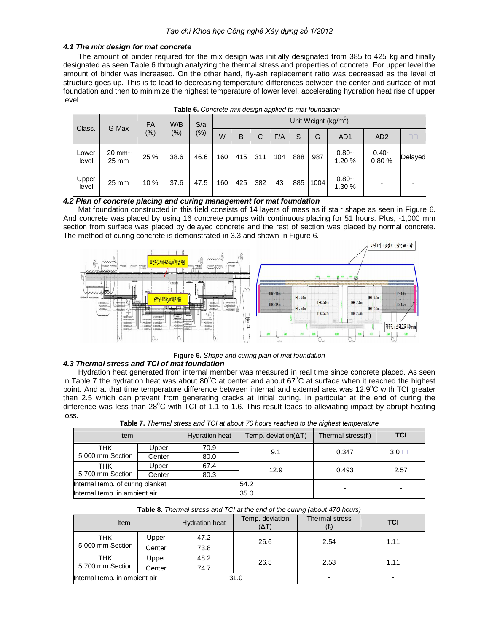# *4.1 The mix design for mat concrete*

The amount of binder required for the mix design was initially designated from 385 to 425 kg and finally designated as seen Table 6 through analyzing the thermal stress and properties of concrete. For upper level the amount of binder was increased. On the other hand, fly-ash replacement ratio was decreased as the level of structure goes up. This is to lead to decreasing temperature differences between the center and surface of mat foundation and then to minimize the highest temperature of lower level, accelerating hydration heat rise of upper level.

| FA             |                            |      | W/B    |       | Unit Weight (kg/m <sup>3</sup> ) |     |     |     |     |      |                   |                  |         |
|----------------|----------------------------|------|--------|-------|----------------------------------|-----|-----|-----|-----|------|-------------------|------------------|---------|
| Class.         | G-Max<br>$(\%)$            |      | $(\%)$ | (9/0) | W                                | B   | С   | F/A | S   | G    | AD <sub>1</sub>   | AD <sub>2</sub>  | $\Box$  |
| Lower<br>level | $20 \text{ mm}$ ~<br>25 mm | 25 % | 38.6   | 46.6  | 160                              | 415 | 311 | 104 | 888 | 987  | $0.80-$<br>1.20%  | $0.40-$<br>0.80% | Delayed |
| Upper<br>level | 25 mm                      | 10 % | 37.6   | 47.5  | 160                              | 425 | 382 | 43  | 885 | 1004 | $0.80-$<br>1.30 % |                  |         |

| Table 6. Concrete mix design applied to mat foundation |
|--------------------------------------------------------|
|--------------------------------------------------------|

### *4.2 Plan of concrete placing and curing management for mat foundation*

Mat foundation constructed in this field consists of 14 layers of mass as if stair shape as seen in Figure 6. And concrete was placed by using 16 concrete pumps with continuous placing for 51 hours. Plus, -1,000 mm section from surface was placed by delayed concrete and the rest of section was placed by normal concrete. The method of curing concrete is demonstrated in 3.3 and shown in Figure 6.



**Figure 6.** *Shape and curing plan of mat foundation*

### *4.3 Thermal stress and TCI of mat foundation*

Hydration heat generated from internal member was measured in real time since concrete placed. As seen in Table 7 the hydration heat was about  $80^{\circ}$ C at center and about  $67^{\circ}$ C at surface when it reached the highest point. And at that time temperature difference between internal and external area was 12.9<sup>o</sup>C with TCI greater than 2.5 which can prevent from generating cracks at initial curing. In particular at the end of curing the difference was less than 28 $\degree$ C with TCI of 1.1 to 1.6. This result leads to alleviating impact by abrupt heating loss.

| <b>TWIP I</b> THOMAI ON OOD ONG TOTAL QOOGLI O HOGIO TOGONOG TO TIIGHOOL TOMAO TOOD OO T |                |                       |                               |                        |                 |  |  |  |
|------------------------------------------------------------------------------------------|----------------|-----------------------|-------------------------------|------------------------|-----------------|--|--|--|
| <b>Item</b>                                                                              |                | <b>Hydration heat</b> | Temp. deviation( $\Delta T$ ) | Thermal stress $(f_t)$ | <b>TCI</b>      |  |  |  |
| THK                                                                                      | Upper          | 70.9                  | 9.1                           | 0.347                  |                 |  |  |  |
| 5,000 mm Section                                                                         | Center         | 80.0                  |                               |                        | $3.0$ $\square$ |  |  |  |
| THK                                                                                      | Upper          | 67.4                  | 12.9                          | 0.493                  | 2.57            |  |  |  |
| 5,700 mm Section                                                                         | Center<br>80.3 |                       |                               |                        |                 |  |  |  |
| Internal temp. of curing blanket                                                         |                |                       | 54.2                          | -                      | ۰               |  |  |  |
| Internal temp. in ambient air                                                            |                |                       | 35.0                          |                        |                 |  |  |  |

**Table 7.** *Thermal stress and TCI at about 70 hours reached to the highest temperature*

|  |  |  | Table 8. Thermal stress and TCI at the end of the curing (about 470 hours) |  |  |
|--|--|--|----------------------------------------------------------------------------|--|--|
|--|--|--|----------------------------------------------------------------------------|--|--|

| Item                          |        | Hydration heat | Temp. deviation<br>$(\Delta T)$ | Thermal stress<br>$(f_t)$ | <b>TCI</b> |  |
|-------------------------------|--------|----------------|---------------------------------|---------------------------|------------|--|
| <b>THK</b><br>Upper           |        | 47.2           | 26.6                            | 2.54                      | 1.11       |  |
| 5,000 mm Section              | Center | 73.8           |                                 |                           |            |  |
| THK                           | Upper  | 48.2           | 26.5                            | 2.53                      | 1.11       |  |
| 5,700 mm Section              | Center | 74.7           |                                 |                           |            |  |
| Internal temp. in ambient air |        | 31.0           |                                 | -                         |            |  |